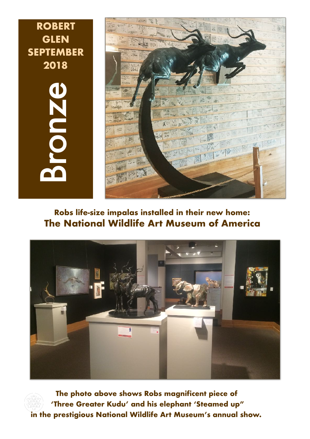Bronze **ROBERT GLEN SEPTEMBER 2018**



## **Robs life-size impalas installed in their new home: The National Wildlife Art Museum of America**



**The photo above shows Robs magnificent piece of 'Three Greater Kudu' and his elephant 'Steamed up" in the prestigious National Wildlife Art Museum's annual show.**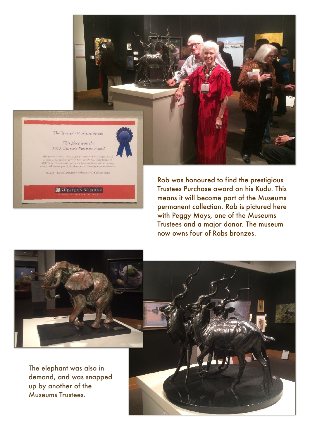

The 2017 Towers's Purchase Avend money was Karlo in Tiemer

**WESTERN VISIONS** 

Rob was honoured to find the prestigious Trustees Purchase award on his Kudu. This means it will become part of the Museums permanent collection. Rob is pictured here with Peggy Mays, one of the Museums Trustees and a major donor. The museum now owns four of Robs bronzes.



The elephant was also in demand, and was snapped up by another of the Museums Trustees.